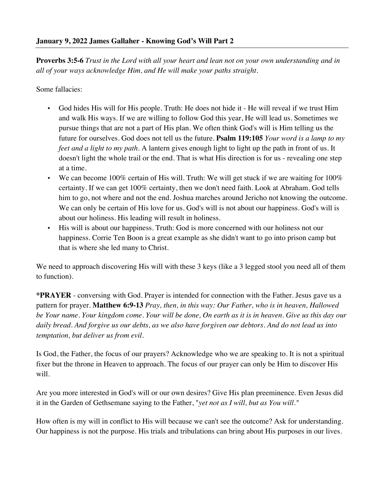**Proverbs 3:5-6** *Trust in the Lord with all your heart and lean not on your own understanding and in all of your ways acknowledge Him, and He will make your paths straight.*

Some fallacies:

- God hides His will for His people. Truth: He does not hide it He will reveal if we trust Him and walk His ways. If we are willing to follow God this year, He will lead us. Sometimes we pursue things that are not a part of His plan. We often think God's will is Him telling us the future for ourselves. God does not tell us the future. **Psalm 119:105** *Your word is a lamp to my feet and a light to my path.* A lantern gives enough light to light up the path in front of us. It doesn't light the whole trail or the end. That is what His direction is for us - revealing one step at a time.
- We can become 100% certain of His will. Truth: We will get stuck if we are waiting for  $100\%$ certainty. If we can get 100% certainty, then we don't need faith. Look at Abraham. God tells him to go, not where and not the end. Joshua marches around Jericho not knowing the outcome. We can only be certain of His love for us. God's will is not about our happiness. God's will is about our holiness. His leading will result in holiness.
- His will is about our happiness. Truth: God is more concerned with our holiness not our happiness. Corrie Ten Boon is a great example as she didn't want to go into prison camp but that is where she led many to Christ.

We need to approach discovering His will with these 3 keys (like a 3 legged stool you need all of them to function).

**\*PRAYER** - conversing with God. Prayer is intended for connection with the Father. Jesus gave us a pattern for prayer. **Matthew 6:9-13** *Pray, then, in this way: Our Father, who is in heaven, Hallowed be Your name. Your kingdom come. Your will be done, On earth as it is in heaven. Give us this day our daily bread. And forgive us our debts, as we also have forgiven our debtors. And do not lead us into temptation, but deliver us from evil.*

Is God, the Father, the focus of our prayers? Acknowledge who we are speaking to. It is not a spiritual fixer but the throne in Heaven to approach. The focus of our prayer can only be Him to discover His will.

Are you more interested in God's will or our own desires? Give His plan preeminence. Even Jesus did it in the Garden of Gethsemane saying to the Father, "*yet not as I will, but as You will."*

How often is my will in conflict to His will because we can't see the outcome? Ask for understanding. Our happiness is not the purpose. His trials and tribulations can bring about His purposes in our lives.